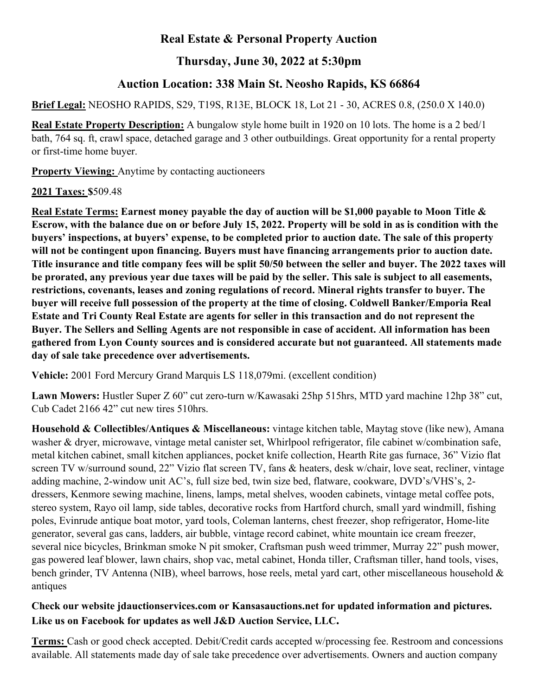## **Real Estate & Personal Property Auction**

## **Thursday, June 30, 2022 at 5:30pm**

## **Auction Location: 338 Main St. Neosho Rapids, KS 66864**

**Brief Legal:** NEOSHO RAPIDS, S29, T19S, R13E, BLOCK 18, Lot 21 - 30, ACRES 0.8, (250.0 X 140.0)

**Real Estate Property Description:** A bungalow style home built in 1920 on 10 lots. The home is a 2 bed/1 bath, 764 sq. ft, crawl space, detached garage and 3 other outbuildings. Great opportunity for a rental property or first-time home buyer.

**Property Viewing:** Anytime by contacting auctioneers

**2021 Taxes: \$**509.48

**Real Estate Terms: Earnest money payable the day of auction will be \$1,000 payable to Moon Title & Escrow, with the balance due on or before July 15, 2022. Property will be sold in as is condition with the buyers' inspections, at buyers' expense, to be completed prior to auction date. The sale of this property will not be contingent upon financing. Buyers must have financing arrangements prior to auction date. Title insurance and title company fees will be split 50/50 between the seller and buyer. The 2022 taxes will be prorated, any previous year due taxes will be paid by the seller. This sale is subject to all easements, restrictions, covenants, leases and zoning regulations of record. Mineral rights transfer to buyer. The buyer will receive full possession of the property at the time of closing. Coldwell Banker/Emporia Real Estate and Tri County Real Estate are agents for seller in this transaction and do not represent the Buyer. The Sellers and Selling Agents are not responsible in case of accident. All information has been gathered from Lyon County sources and is considered accurate but not guaranteed. All statements made day of sale take precedence over advertisements.**

**Vehicle:** 2001 Ford Mercury Grand Marquis LS 118,079mi. (excellent condition)

**Lawn Mowers:** Hustler Super Z 60" cut zero-turn w/Kawasaki 25hp 515hrs, MTD yard machine 12hp 38" cut, Cub Cadet 2166 42" cut new tires 510hrs.

**Household & Collectibles/Antiques & Miscellaneous:** vintage kitchen table, Maytag stove (like new), Amana washer & dryer, microwave, vintage metal canister set, Whirlpool refrigerator, file cabinet w/combination safe, metal kitchen cabinet, small kitchen appliances, pocket knife collection, Hearth Rite gas furnace, 36" Vizio flat screen TV w/surround sound, 22" Vizio flat screen TV, fans & heaters, desk w/chair, love seat, recliner, vintage adding machine, 2-window unit AC's, full size bed, twin size bed, flatware, cookware, DVD's/VHS's, 2 dressers, Kenmore sewing machine, linens, lamps, metal shelves, wooden cabinets, vintage metal coffee pots, stereo system, Rayo oil lamp, side tables, decorative rocks from Hartford church, small yard windmill, fishing poles, Evinrude antique boat motor, yard tools, Coleman lanterns, chest freezer, shop refrigerator, Home-lite generator, several gas cans, ladders, air bubble, vintage record cabinet, white mountain ice cream freezer, several nice bicycles, Brinkman smoke N pit smoker, Craftsman push weed trimmer, Murray 22" push mower, gas powered leaf blower, lawn chairs, shop vac, metal cabinet, Honda tiller, Craftsman tiller, hand tools, vises, bench grinder, TV Antenna (NIB), wheel barrows, hose reels, metal yard cart, other miscellaneous household & antiques

## **Check our website jdauctionservices.com or Kansasauctions.net for updated information and pictures. Like us on Facebook for updates as well J&D Auction Service, LLC.**

**Terms:** Cash or good check accepted. Debit/Credit cards accepted w/processing fee. Restroom and concessions available. All statements made day of sale take precedence over advertisements. Owners and auction company